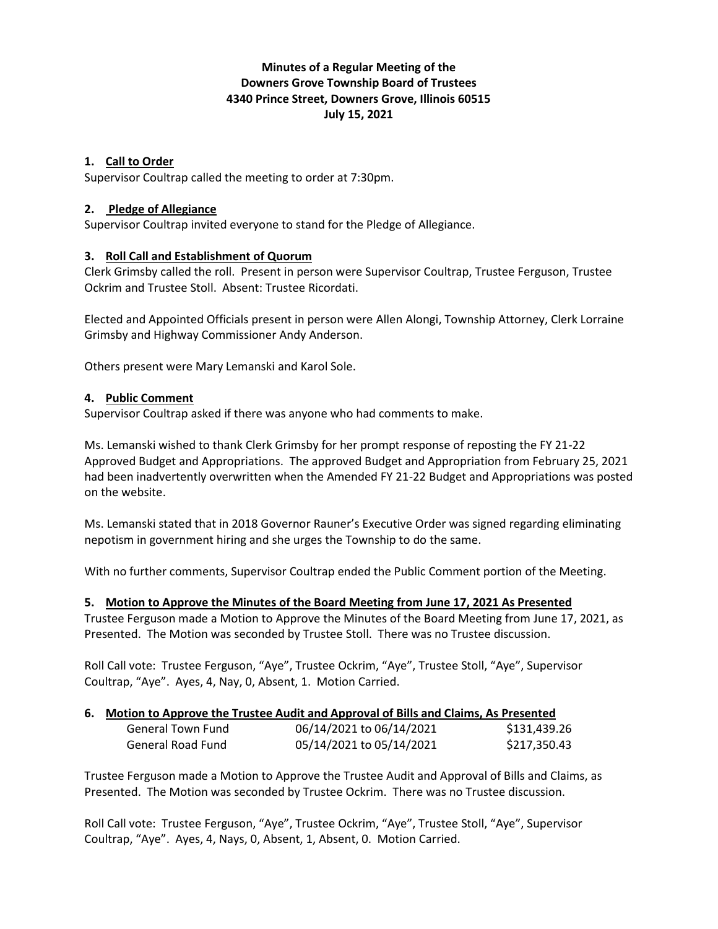# **Minutes of a Regular Meeting of the Downers Grove Township Board of Trustees 4340 Prince Street, Downers Grove, Illinois 60515 July 15, 2021**

## **1. Call to Order**

Supervisor Coultrap called the meeting to order at 7:30pm.

### **2. Pledge of Allegiance**

Supervisor Coultrap invited everyone to stand for the Pledge of Allegiance.

### **3. Roll Call and Establishment of Quorum**

Clerk Grimsby called the roll. Present in person were Supervisor Coultrap, Trustee Ferguson, Trustee Ockrim and Trustee Stoll. Absent: Trustee Ricordati.

Elected and Appointed Officials present in person were Allen Alongi, Township Attorney, Clerk Lorraine Grimsby and Highway Commissioner Andy Anderson.

Others present were Mary Lemanski and Karol Sole.

#### **4. Public Comment**

Supervisor Coultrap asked if there was anyone who had comments to make.

Ms. Lemanski wished to thank Clerk Grimsby for her prompt response of reposting the FY 21-22 Approved Budget and Appropriations. The approved Budget and Appropriation from February 25, 2021 had been inadvertently overwritten when the Amended FY 21-22 Budget and Appropriations was posted on the website.

Ms. Lemanski stated that in 2018 Governor Rauner's Executive Order was signed regarding eliminating nepotism in government hiring and she urges the Township to do the same.

With no further comments, Supervisor Coultrap ended the Public Comment portion of the Meeting.

#### **5. Motion to Approve the Minutes of the Board Meeting from June 17, 2021 As Presented**

Trustee Ferguson made a Motion to Approve the Minutes of the Board Meeting from June 17, 2021, as Presented. The Motion was seconded by Trustee Stoll. There was no Trustee discussion.

Roll Call vote: Trustee Ferguson, "Aye", Trustee Ockrim, "Aye", Trustee Stoll, "Aye", Supervisor Coultrap, "Aye". Ayes, 4, Nay, 0, Absent, 1. Motion Carried.

### **6. Motion to Approve the Trustee Audit and Approval of Bills and Claims, As Presented**

| General Town Fund | 06/14/2021 to 06/14/2021 | \$131,439.26 |
|-------------------|--------------------------|--------------|
| General Road Fund | 05/14/2021 to 05/14/2021 | \$217,350.43 |

Trustee Ferguson made a Motion to Approve the Trustee Audit and Approval of Bills and Claims, as Presented. The Motion was seconded by Trustee Ockrim. There was no Trustee discussion.

Roll Call vote: Trustee Ferguson, "Aye", Trustee Ockrim, "Aye", Trustee Stoll, "Aye", Supervisor Coultrap, "Aye". Ayes, 4, Nays, 0, Absent, 1, Absent, 0. Motion Carried.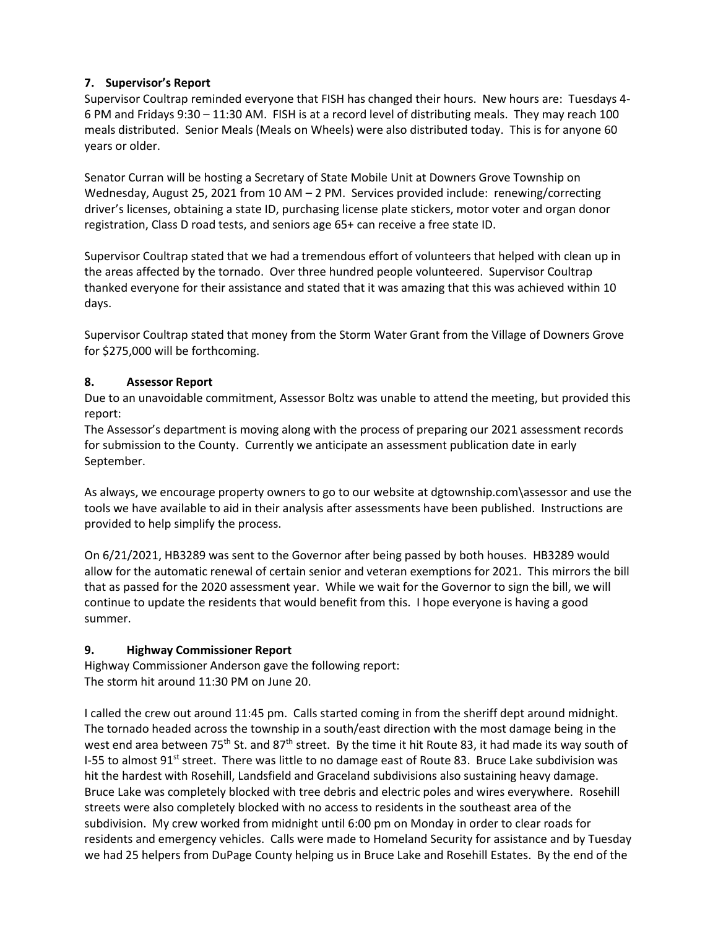## **7. Supervisor's Report**

Supervisor Coultrap reminded everyone that FISH has changed their hours. New hours are: Tuesdays 4- 6 PM and Fridays 9:30 – 11:30 AM. FISH is at a record level of distributing meals. They may reach 100 meals distributed. Senior Meals (Meals on Wheels) were also distributed today. This is for anyone 60 years or older.

Senator Curran will be hosting a Secretary of State Mobile Unit at Downers Grove Township on Wednesday, August 25, 2021 from 10 AM – 2 PM. Services provided include: renewing/correcting driver's licenses, obtaining a state ID, purchasing license plate stickers, motor voter and organ donor registration, Class D road tests, and seniors age 65+ can receive a free state ID.

Supervisor Coultrap stated that we had a tremendous effort of volunteers that helped with clean up in the areas affected by the tornado. Over three hundred people volunteered. Supervisor Coultrap thanked everyone for their assistance and stated that it was amazing that this was achieved within 10 days.

Supervisor Coultrap stated that money from the Storm Water Grant from the Village of Downers Grove for \$275,000 will be forthcoming.

## **8. Assessor Report**

Due to an unavoidable commitment, Assessor Boltz was unable to attend the meeting, but provided this report:

The Assessor's department is moving along with the process of preparing our 2021 assessment records for submission to the County. Currently we anticipate an assessment publication date in early September.

As always, we encourage property owners to go to our website at dgtownship.com\assessor and use the tools we have available to aid in their analysis after assessments have been published. Instructions are provided to help simplify the process.

On 6/21/2021, HB3289 was sent to the Governor after being passed by both houses. HB3289 would allow for the automatic renewal of certain senior and veteran exemptions for 2021. This mirrors the bill that as passed for the 2020 assessment year. While we wait for the Governor to sign the bill, we will continue to update the residents that would benefit from this. I hope everyone is having a good summer.

## **9. Highway Commissioner Report**

Highway Commissioner Anderson gave the following report: The storm hit around 11:30 PM on June 20.

I called the crew out around 11:45 pm. Calls started coming in from the sheriff dept around midnight. The tornado headed across the township in a south/east direction with the most damage being in the west end area between 75<sup>th</sup> St. and 87<sup>th</sup> street. By the time it hit Route 83, it had made its way south of I-55 to almost 91<sup>st</sup> street. There was little to no damage east of Route 83. Bruce Lake subdivision was hit the hardest with Rosehill, Landsfield and Graceland subdivisions also sustaining heavy damage. Bruce Lake was completely blocked with tree debris and electric poles and wires everywhere. Rosehill streets were also completely blocked with no access to residents in the southeast area of the subdivision. My crew worked from midnight until 6:00 pm on Monday in order to clear roads for residents and emergency vehicles. Calls were made to Homeland Security for assistance and by Tuesday we had 25 helpers from DuPage County helping us in Bruce Lake and Rosehill Estates. By the end of the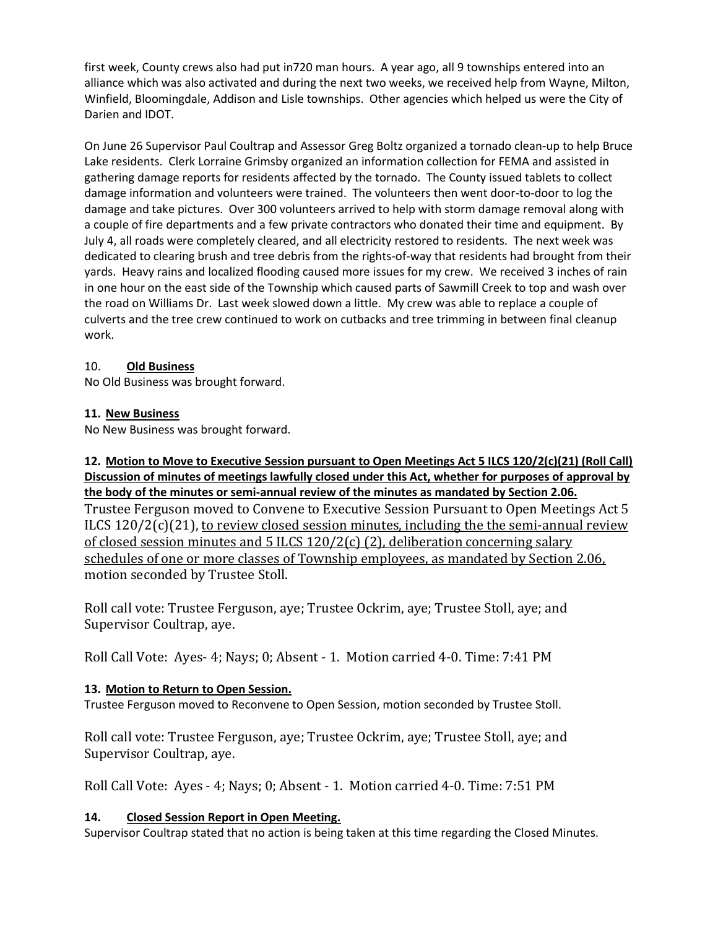first week, County crews also had put in720 man hours. A year ago, all 9 townships entered into an alliance which was also activated and during the next two weeks, we received help from Wayne, Milton, Winfield, Bloomingdale, Addison and Lisle townships. Other agencies which helped us were the City of Darien and IDOT.

On June 26 Supervisor Paul Coultrap and Assessor Greg Boltz organized a tornado clean-up to help Bruce Lake residents. Clerk Lorraine Grimsby organized an information collection for FEMA and assisted in gathering damage reports for residents affected by the tornado. The County issued tablets to collect damage information and volunteers were trained. The volunteers then went door-to-door to log the damage and take pictures. Over 300 volunteers arrived to help with storm damage removal along with a couple of fire departments and a few private contractors who donated their time and equipment. By July 4, all roads were completely cleared, and all electricity restored to residents. The next week was dedicated to clearing brush and tree debris from the rights-of-way that residents had brought from their yards. Heavy rains and localized flooding caused more issues for my crew. We received 3 inches of rain in one hour on the east side of the Township which caused parts of Sawmill Creek to top and wash over the road on Williams Dr. Last week slowed down a little. My crew was able to replace a couple of culverts and the tree crew continued to work on cutbacks and tree trimming in between final cleanup work.

### 10. **Old Business**

No Old Business was brought forward.

### **11. New Business**

No New Business was brought forward.

**12. Motion to Move to Executive Session pursuant to Open Meetings Act 5 ILCS 120/2(c)(21) (Roll Call) Discussion of minutes of meetings lawfully closed under this Act, whether for purposes of approval by the body of the minutes or semi-annual review of the minutes as mandated by Section 2.06.** Trustee Ferguson moved to Convene to Executive Session Pursuant to Open Meetings Act 5 ILCS  $120/2(c)(21)$ , to review closed session minutes, including the the semi-annual review of closed session minutes and 5 ILCS 120/2(c) (2), deliberation concerning salary schedules of one or more classes of Township employees, as mandated by Section 2.06, motion seconded by Trustee Stoll.

Roll call vote: Trustee Ferguson, aye; Trustee Ockrim, aye; Trustee Stoll, aye; and Supervisor Coultrap, aye.

Roll Call Vote: Ayes- 4; Nays; 0; Absent - 1. Motion carried 4-0. Time: 7:41 PM

## **13. Motion to Return to Open Session.**

Trustee Ferguson moved to Reconvene to Open Session, motion seconded by Trustee Stoll.

Roll call vote: Trustee Ferguson, aye; Trustee Ockrim, aye; Trustee Stoll, aye; and Supervisor Coultrap, aye.

Roll Call Vote: Ayes - 4; Nays; 0; Absent - 1. Motion carried 4-0. Time: 7:51 PM

### **14. Closed Session Report in Open Meeting.**

Supervisor Coultrap stated that no action is being taken at this time regarding the Closed Minutes.